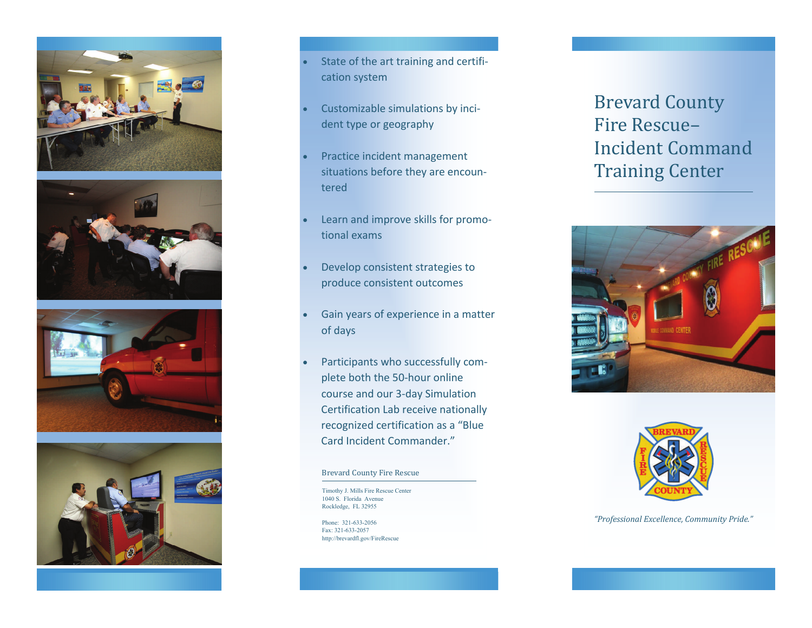







- $\bullet$ **State of the art training and certifi**cation system
- $\bullet$  Customizable simulations by inci‐ dent type or geography
- $\bullet$  Practice incident management situations before they are encoun‐ tered
- $\bullet$  Learn and improve skills for promo‐ tional exams
- $\bullet$  Develop consistent strategies to produce consistent outcomes
- $\bullet$  Gain years of experience in <sup>a</sup> matter of days
- $\bullet$  Participants who successfully com‐ plete both the 50‐hour online course and our 3‐day Simulation Certification Lab receive nationally recognized certification as <sup>a</sup> "Blue Card Incident Commander."

#### Brevard County Fire Rescue

Timothy J. Mills Fire Rescue Center 1040 S. Florida Avenue Rockledge, FL 32955

Phone: 321‐633‐2056 Fax: 321‐633‐2057 http://brevardfl.gov/FireRescue

# **Brevard County** Fire Rescue– Incident Command Training Center





#### *"Professional Excellence, Community Pride."*